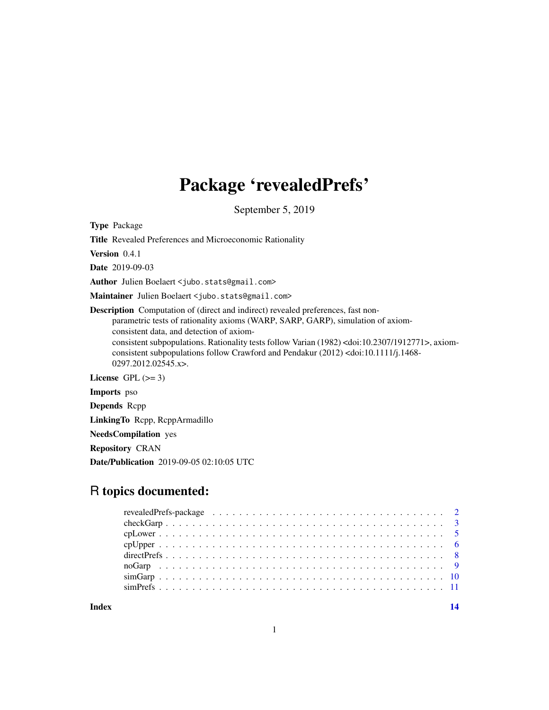## Package 'revealedPrefs'

September 5, 2019

Type Package

Title Revealed Preferences and Microeconomic Rationality

Version 0.4.1

Date 2019-09-03

Author Julien Boelaert <jubo.stats@gmail.com>

Maintainer Julien Boelaert <jubo.stats@gmail.com>

Description Computation of (direct and indirect) revealed preferences, fast nonparametric tests of rationality axioms (WARP, SARP, GARP), simulation of axiomconsistent data, and detection of axiomconsistent subpopulations. Rationality tests follow Varian (1982) <doi:10.2307/1912771>, axiomconsistent subpopulations follow Crawford and Pendakur (2012) <doi:10.1111/j.1468- 0297.2012.02545.x>.

License GPL  $(>= 3)$ 

Imports pso

Depends Rcpp

LinkingTo Rcpp, RcppArmadillo

NeedsCompilation yes

Repository CRAN

Date/Publication 2019-09-05 02:10:05 UTC

## R topics documented:

**Index** 2008 **[14](#page-13-0)**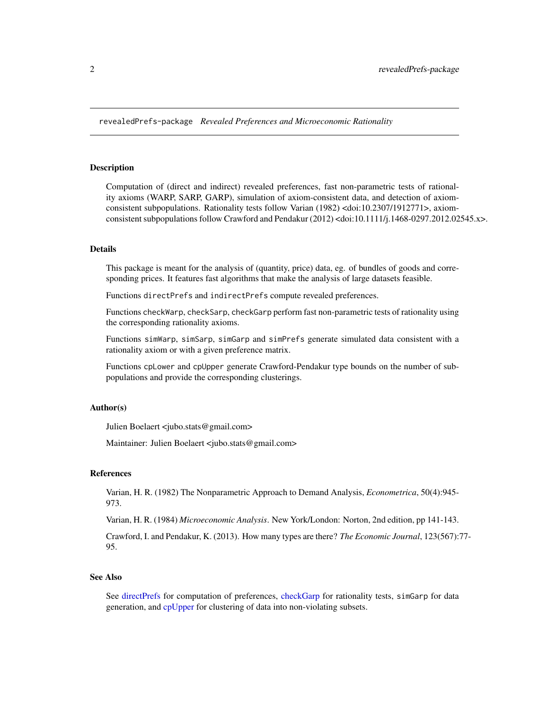<span id="page-1-0"></span>revealedPrefs-package *Revealed Preferences and Microeconomic Rationality*

#### Description

Computation of (direct and indirect) revealed preferences, fast non-parametric tests of rationality axioms (WARP, SARP, GARP), simulation of axiom-consistent data, and detection of axiomconsistent subpopulations. Rationality tests follow Varian (1982) <doi:10.2307/1912771>, axiomconsistent subpopulations follow Crawford and Pendakur (2012) <doi:10.1111/j.1468-0297.2012.02545.x>.

#### Details

This package is meant for the analysis of (quantity, price) data, eg. of bundles of goods and corresponding prices. It features fast algorithms that make the analysis of large datasets feasible.

Functions directPrefs and indirectPrefs compute revealed preferences.

Functions checkWarp, checkSarp, checkGarp perform fast non-parametric tests of rationality using the corresponding rationality axioms.

Functions simWarp, simSarp, simGarp and simPrefs generate simulated data consistent with a rationality axiom or with a given preference matrix.

Functions cpLower and cpUpper generate Crawford-Pendakur type bounds on the number of subpopulations and provide the corresponding clusterings.

## Author(s)

Julien Boelaert <jubo.stats@gmail.com>

Maintainer: Julien Boelaert <jubo.stats@gmail.com>

## References

Varian, H. R. (1982) The Nonparametric Approach to Demand Analysis, *Econometrica*, 50(4):945- 973.

Varian, H. R. (1984) *Microeconomic Analysis*. New York/London: Norton, 2nd edition, pp 141-143.

Crawford, I. and Pendakur, K. (2013). How many types are there? *The Economic Journal*, 123(567):77- 95.

#### See Also

See [directPrefs](#page-7-1) for computation of preferences, [checkGarp](#page-2-1) for rationality tests, simGarp for data generation, and [cpUpper](#page-5-1) for clustering of data into non-violating subsets.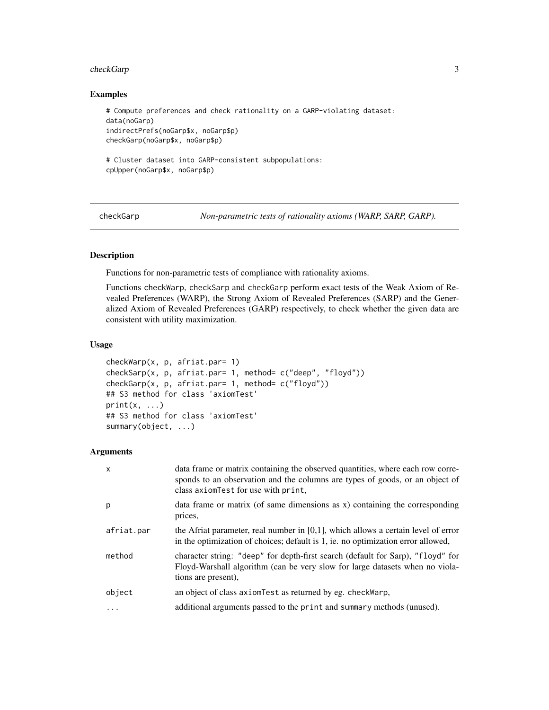#### <span id="page-2-0"></span>checkGarp 3

## Examples

```
# Compute preferences and check rationality on a GARP-violating dataset:
data(noGarp)
indirectPrefs(noGarp$x, noGarp$p)
checkGarp(noGarp$x, noGarp$p)
# Cluster dataset into GARP-consistent subpopulations:
cpUpper(noGarp$x, noGarp$p)
```
<span id="page-2-1"></span>checkGarp *Non-parametric tests of rationality axioms (WARP, SARP, GARP).*

## **Description**

Functions for non-parametric tests of compliance with rationality axioms.

Functions checkWarp, checkSarp and checkGarp perform exact tests of the Weak Axiom of Revealed Preferences (WARP), the Strong Axiom of Revealed Preferences (SARP) and the Generalized Axiom of Revealed Preferences (GARP) respectively, to check whether the given data are consistent with utility maximization.

## Usage

```
checkWarp(x, p, afriat.par= 1)
checkSarp(x, p, afriat.par= 1, method= c("deep", "floyd"))
checkGarp(x, p, afriat.par= 1, method= c("floyd"))
## S3 method for class 'axiomTest'
print(x, \ldots)## S3 method for class 'axiomTest'
summary(object, ...)
```
## Arguments

| $\times$   | data frame or matrix containing the observed quantities, where each row corre-<br>sponds to an observation and the columns are types of goods, or an object of<br>class axiom Test for use with print, |
|------------|--------------------------------------------------------------------------------------------------------------------------------------------------------------------------------------------------------|
| p          | data frame or matrix (of same dimensions as x) containing the corresponding<br>prices.                                                                                                                 |
| afriat.par | the Afriat parameter, real number in $[0,1]$ , which allows a certain level of error<br>in the optimization of choices; default is 1, ie. no optimization error allowed,                               |
| method     | character string: "deep" for depth-first search (default for Sarp), "floyd" for<br>Floyd-Warshall algorithm (can be very slow for large datasets when no viola-<br>tions are present),                 |
| object     | an object of class axiom Test as returned by eg. check Warp,                                                                                                                                           |
|            | additional arguments passed to the print and summary methods (unused).                                                                                                                                 |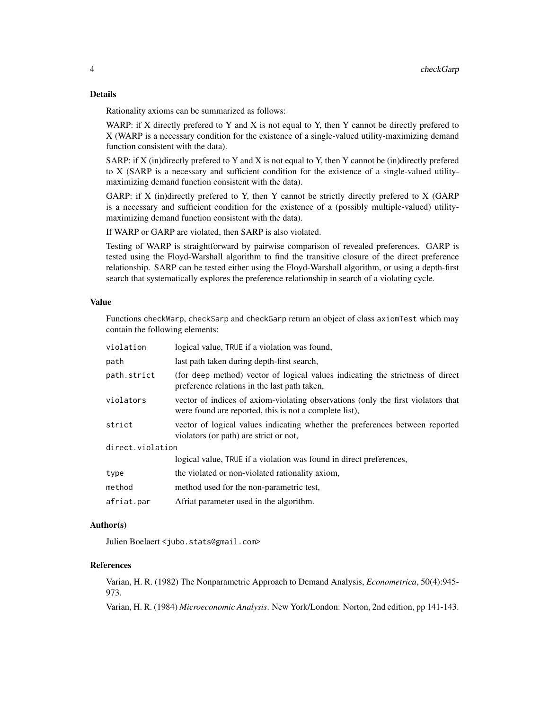## Details

Rationality axioms can be summarized as follows:

WARP: if X directly prefered to Y and X is not equal to Y, then Y cannot be directly prefered to X (WARP is a necessary condition for the existence of a single-valued utility-maximizing demand function consistent with the data).

SARP: if  $X$  (in)directly prefered to  $Y$  and  $X$  is not equal to  $Y$ , then  $Y$  cannot be (in)directly prefered to X (SARP is a necessary and sufficient condition for the existence of a single-valued utilitymaximizing demand function consistent with the data).

GARP: if X (in)directly prefered to Y, then Y cannot be strictly directly prefered to X (GARP is a necessary and sufficient condition for the existence of a (possibly multiple-valued) utilitymaximizing demand function consistent with the data).

If WARP or GARP are violated, then SARP is also violated.

Testing of WARP is straightforward by pairwise comparison of revealed preferences. GARP is tested using the Floyd-Warshall algorithm to find the transitive closure of the direct preference relationship. SARP can be tested either using the Floyd-Warshall algorithm, or using a depth-first search that systematically explores the preference relationship in search of a violating cycle.

## Value

Functions checkWarp, checkSarp and checkGarp return an object of class axiomTest which may contain the following elements:

| logical value, TRUE if a violation was found,                                                                                              |  |  |
|--------------------------------------------------------------------------------------------------------------------------------------------|--|--|
| last path taken during depth-first search,                                                                                                 |  |  |
| (for deep method) vector of logical values indicating the strictness of direct<br>preference relations in the last path taken,             |  |  |
| vector of indices of axiom-violating observations (only the first violators that<br>were found are reported, this is not a complete list), |  |  |
| vector of logical values indicating whether the preferences between reported<br>violators (or path) are strict or not,                     |  |  |
| direct.violation                                                                                                                           |  |  |
| logical value, TRUE if a violation was found in direct preferences,                                                                        |  |  |
| the violated or non-violated rationality axiom,                                                                                            |  |  |
| method used for the non-parametric test,                                                                                                   |  |  |
| Afriat parameter used in the algorithm.                                                                                                    |  |  |
|                                                                                                                                            |  |  |

## Author(s)

Julien Boelaert <jubo.stats@gmail.com>

#### References

Varian, H. R. (1982) The Nonparametric Approach to Demand Analysis, *Econometrica*, 50(4):945- 973.

Varian, H. R. (1984) *Microeconomic Analysis*. New York/London: Norton, 2nd edition, pp 141-143.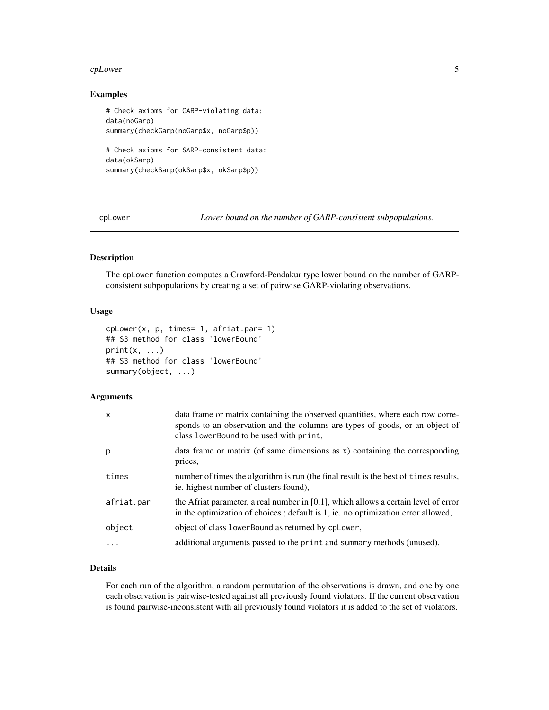#### <span id="page-4-0"></span>cpLower 5

## Examples

```
# Check axioms for GARP-violating data:
data(noGarp)
summary(checkGarp(noGarp$x, noGarp$p))
# Check axioms for SARP-consistent data:
data(okSarp)
summary(checkSarp(okSarp$x, okSarp$p))
```
<span id="page-4-1"></span>cpLower *Lower bound on the number of GARP-consistent subpopulations.*

## Description

The cpLower function computes a Crawford-Pendakur type lower bound on the number of GARPconsistent subpopulations by creating a set of pairwise GARP-violating observations.

## Usage

```
cpLower(x, p, times= 1, afriat.par= 1)
## S3 method for class 'lowerBound'
print(x, \ldots)## S3 method for class 'lowerBound'
summary(object, ...)
```
## Arguments

| data frame or matrix containing the observed quantities, where each row corre-<br>sponds to an observation and the columns are types of goods, or an object of<br>class lowerBound to be used with print, |
|-----------------------------------------------------------------------------------------------------------------------------------------------------------------------------------------------------------|
| data frame or matrix (of same dimensions as x) containing the corresponding<br>prices,                                                                                                                    |
| number of times the algorithm is run (the final result is the best of times results,<br>ie. highest number of clusters found),                                                                            |
| the Afriat parameter, a real number in $[0,1]$ , which allows a certain level of error<br>in the optimization of choices; default is 1, ie. no optimization error allowed,                                |
| object of class lower Bound as returned by cplower,                                                                                                                                                       |
| additional arguments passed to the print and summary methods (unused).                                                                                                                                    |
|                                                                                                                                                                                                           |

## Details

For each run of the algorithm, a random permutation of the observations is drawn, and one by one each observation is pairwise-tested against all previously found violators. If the current observation is found pairwise-inconsistent with all previously found violators it is added to the set of violators.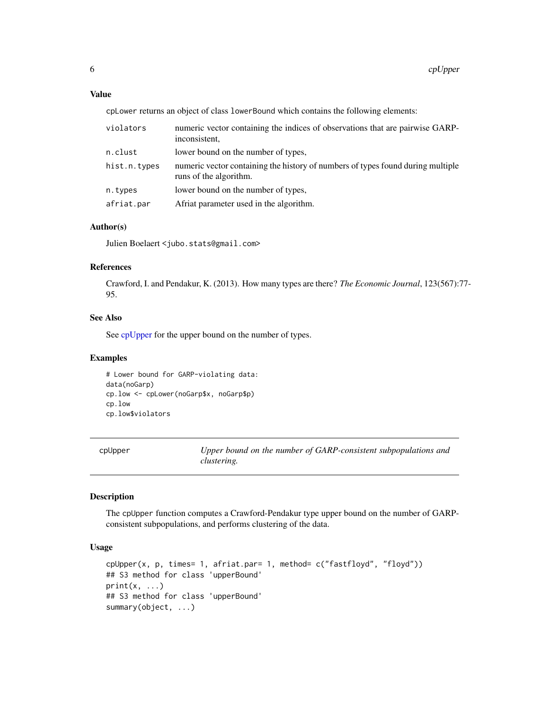## <span id="page-5-0"></span>Value

cpLower returns an object of class lowerBound which contains the following elements:

| violators    | numeric vector containing the indices of observations that are pairwise GARP-<br>inconsistent.            |
|--------------|-----------------------------------------------------------------------------------------------------------|
| n.clust      | lower bound on the number of types,                                                                       |
| hist.n.types | numeric vector containing the history of numbers of types found during multiple<br>runs of the algorithm. |
| n.types      | lower bound on the number of types,                                                                       |
| afriat.par   | Afriat parameter used in the algorithm.                                                                   |

## Author(s)

Julien Boelaert <jubo.stats@gmail.com>

#### References

Crawford, I. and Pendakur, K. (2013). How many types are there? *The Economic Journal*, 123(567):77- 95.

## See Also

See [cpUpper](#page-5-1) for the upper bound on the number of types.

## Examples

# Lower bound for GARP-violating data: data(noGarp) cp.low <- cpLower(noGarp\$x, noGarp\$p) cp.low cp.low\$violators

<span id="page-5-1"></span>cpUpper *Upper bound on the number of GARP-consistent subpopulations and clustering.*

## Description

The cpUpper function computes a Crawford-Pendakur type upper bound on the number of GARPconsistent subpopulations, and performs clustering of the data.

## Usage

```
cpUpper(x, p, times= 1, afriat.par= 1, method= c("fastfloyd", "floyd"))
## S3 method for class 'upperBound'
print(x, \ldots)## S3 method for class 'upperBound'
summary(object, ...)
```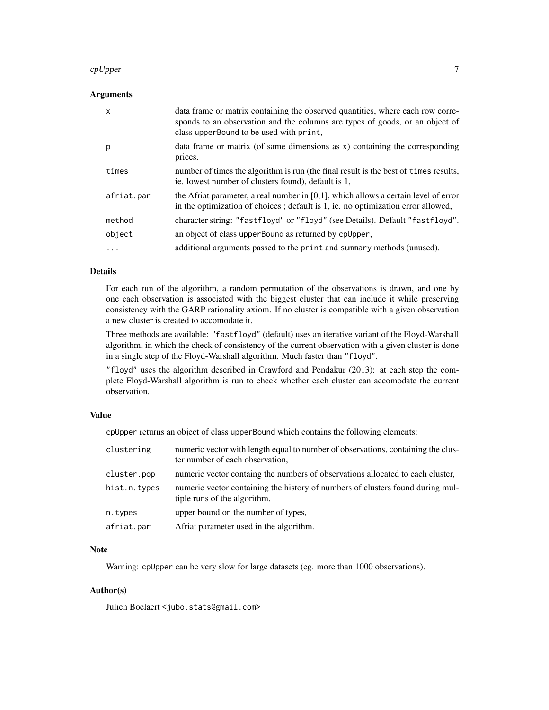#### cpUpper 7

## Arguments

| X          | data frame or matrix containing the observed quantities, where each row corre-<br>sponds to an observation and the columns are types of goods, or an object of<br>class upper Bound to be used with print, |
|------------|------------------------------------------------------------------------------------------------------------------------------------------------------------------------------------------------------------|
| р          | data frame or matrix (of same dimensions as $x$ ) containing the corresponding<br>prices,                                                                                                                  |
| times      | number of times the algorithm is run (the final result is the best of times results,<br>ie. lowest number of clusters found), default is 1,                                                                |
| afriat.par | the Afriat parameter, a real number in $[0,1]$ , which allows a certain level of error<br>in the optimization of choices; default is 1, ie. no optimization error allowed,                                 |
| method     | character string: "fastfloyd" or "floyd" (see Details). Default "fastfloyd".                                                                                                                               |
| object     | an object of class upper Bound as returned by cpupper,                                                                                                                                                     |
| .          | additional arguments passed to the print and summary methods (unused).                                                                                                                                     |

## Details

For each run of the algorithm, a random permutation of the observations is drawn, and one by one each observation is associated with the biggest cluster that can include it while preserving consistency with the GARP rationality axiom. If no cluster is compatible with a given observation a new cluster is created to accomodate it.

Three methods are available: "fastfloyd" (default) uses an iterative variant of the Floyd-Warshall algorithm, in which the check of consistency of the current observation with a given cluster is done in a single step of the Floyd-Warshall algorithm. Much faster than "floyd".

"floyd" uses the algorithm described in Crawford and Pendakur (2013): at each step the complete Floyd-Warshall algorithm is run to check whether each cluster can accomodate the current observation.

## Value

cpUpper returns an object of class upperBound which contains the following elements:

| clustering   | numeric vector with length equal to number of observations, containing the clus-<br>ter number of each observation, |
|--------------|---------------------------------------------------------------------------------------------------------------------|
| cluster.pop  | numeric vector containg the numbers of observations allocated to each cluster,                                      |
| hist.n.types | numeric vector containing the history of numbers of clusters found during mul-<br>tiple runs of the algorithm.      |
| n.types      | upper bound on the number of types,                                                                                 |
| afriat.par   | Afriat parameter used in the algorithm.                                                                             |

## Note

Warning: cpUpper can be very slow for large datasets (eg. more than 1000 observations).

## Author(s)

Julien Boelaert <jubo.stats@gmail.com>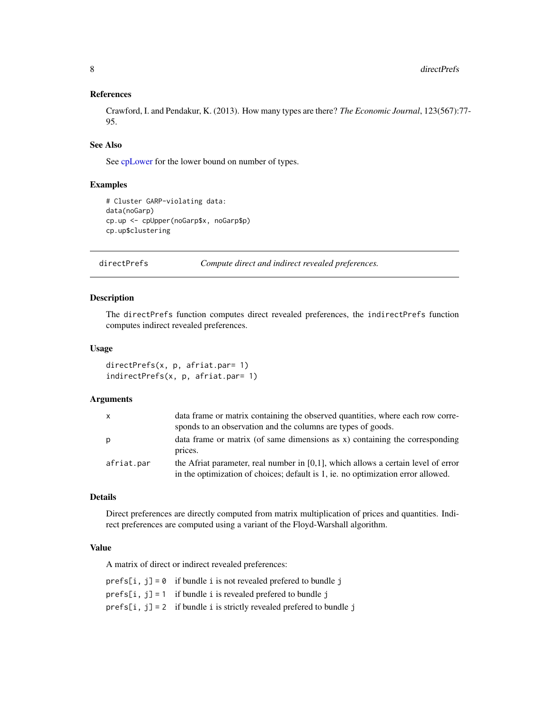## <span id="page-7-0"></span>References

Crawford, I. and Pendakur, K. (2013). How many types are there? *The Economic Journal*, 123(567):77- 95.

## See Also

See [cpLower](#page-4-1) for the lower bound on number of types.

## Examples

```
# Cluster GARP-violating data:
data(noGarp)
cp.up <- cpUpper(noGarp$x, noGarp$p)
cp.up$clustering
```
<span id="page-7-1"></span>directPrefs *Compute direct and indirect revealed preferences.*

## Description

The directPrefs function computes direct revealed preferences, the indirectPrefs function computes indirect revealed preferences.

#### Usage

```
directPrefs(x, p, afriat.par= 1)
indirectPrefs(x, p, afriat.par= 1)
```
## Arguments

| $\mathsf{x}$ | data frame or matrix containing the observed quantities, where each row corre-                                                                                           |
|--------------|--------------------------------------------------------------------------------------------------------------------------------------------------------------------------|
|              | sponds to an observation and the columns are types of goods.                                                                                                             |
| p            | data frame or matrix (of same dimensions as x) containing the corresponding<br>prices.                                                                                   |
| afriat.par   | the Afriat parameter, real number in $[0,1]$ , which allows a certain level of error<br>in the optimization of choices; default is 1, ie. no optimization error allowed. |

## Details

Direct preferences are directly computed from matrix multiplication of prices and quantities. Indirect preferences are computed using a variant of the Floyd-Warshall algorithm.

## Value

A matrix of direct or indirect revealed preferences:

| prefs[i, $i$ ] = 0 if bundle i is not revealed prefered to bundle $i$     |
|---------------------------------------------------------------------------|
| prefs[i, j] = 1 if bundle i is revealed prefered to bundle j              |
| $prefix[i, i] = 2$ if bundle i is strictly revealed preferred to bundle i |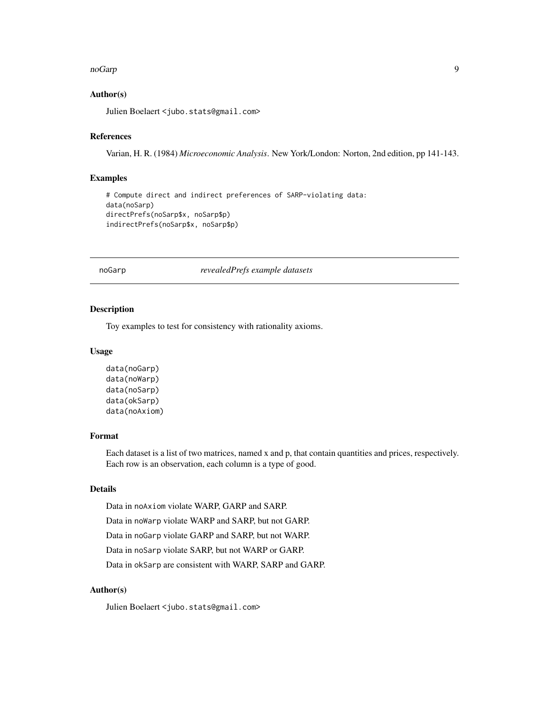#### <span id="page-8-0"></span>noGarp 99, 2008, 2009, 2009, 2009, 2009, 2009, 2009, 2009, 2009, 2009, 2009, 2009, 2009, 2009, 2009, 2009, 20

## Author(s)

Julien Boelaert <jubo.stats@gmail.com>

## References

Varian, H. R. (1984) *Microeconomic Analysis*. New York/London: Norton, 2nd edition, pp 141-143.

## Examples

```
# Compute direct and indirect preferences of SARP-violating data:
data(noSarp)
directPrefs(noSarp$x, noSarp$p)
indirectPrefs(noSarp$x, noSarp$p)
```
noGarp *revealedPrefs example datasets*

## Description

Toy examples to test for consistency with rationality axioms.

#### Usage

```
data(noGarp)
data(noWarp)
data(noSarp)
data(okSarp)
data(noAxiom)
```
## Format

Each dataset is a list of two matrices, named x and p, that contain quantities and prices, respectively. Each row is an observation, each column is a type of good.

## Details

Data in noAxiom violate WARP, GARP and SARP.

Data in noWarp violate WARP and SARP, but not GARP.

Data in noGarp violate GARP and SARP, but not WARP.

Data in noSarp violate SARP, but not WARP or GARP.

Data in okSarp are consistent with WARP, SARP and GARP.

## Author(s)

Julien Boelaert <jubo.stats@gmail.com>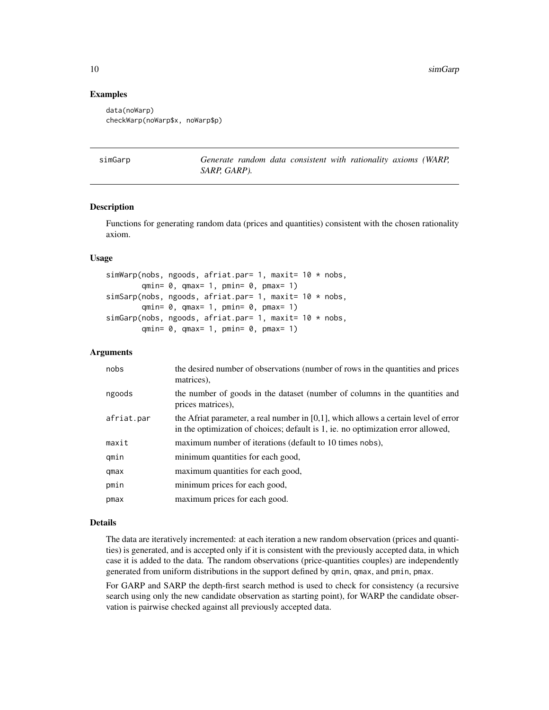## Examples

```
data(noWarp)
checkWarp(noWarp$x, noWarp$p)
```

| simGarp |  |
|---------|--|
|         |  |

Generate random data consistent with rationality axioms (WARP, *SARP, GARP).*

## **Description**

Functions for generating random data (prices and quantities) consistent with the chosen rationality axiom.

## Usage

```
simWarp(nobs, ngoods, afriat.par= 1, maxit= 10 * nobs,
        qmin= \theta, qmax= 1, pmin= \theta, pmax= 1)
simSarp(nobs, ngoods, afriat.par= 1, maxit= 10 * nobs,
        qmin= \theta, qmax= 1, pmin= \theta, pmax= 1)
simGarp(nobs, ngoods, afriat.par= 1, maxit= 10 * nobs,
        qmin= \theta, qmax= 1, pmin= \theta, pmax= 1)
```
## **Arguments**

| nobs       | the desired number of observations (number of rows in the quantities and prices<br>matrices),                                                                              |
|------------|----------------------------------------------------------------------------------------------------------------------------------------------------------------------------|
| ngoods     | the number of goods in the dataset (number of columns in the quantities and<br>prices matrices).                                                                           |
| afriat.par | the Afriat parameter, a real number in $[0,1]$ , which allows a certain level of error<br>in the optimization of choices; default is 1, ie. no optimization error allowed, |
| maxit      | maximum number of iterations (default to 10 times nobs),                                                                                                                   |
| qmin       | minimum quantities for each good,                                                                                                                                          |
| qmax       | maximum quantities for each good,                                                                                                                                          |
| pmin       | minimum prices for each good,                                                                                                                                              |
| pmax       | maximum prices for each good.                                                                                                                                              |

## Details

The data are iteratively incremented: at each iteration a new random observation (prices and quantities) is generated, and is accepted only if it is consistent with the previously accepted data, in which case it is added to the data. The random observations (price-quantities couples) are independently generated from uniform distributions in the support defined by qmin, qmax, and pmin, pmax.

For GARP and SARP the depth-first search method is used to check for consistency (a recursive search using only the new candidate observation as starting point), for WARP the candidate observation is pairwise checked against all previously accepted data.

<span id="page-9-0"></span>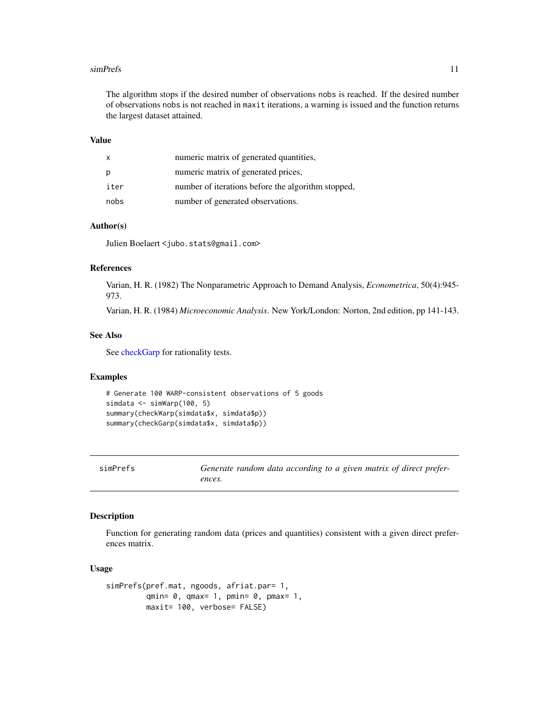#### <span id="page-10-0"></span>simPrefs 11

The algorithm stops if the desired number of observations nobs is reached. If the desired number of observations nobs is not reached in maxit iterations, a warning is issued and the function returns the largest dataset attained.

## Value

| x    | numeric matrix of generated quantities,            |
|------|----------------------------------------------------|
| р    | numeric matrix of generated prices,                |
| iter | number of iterations before the algorithm stopped, |
| nobs | number of generated observations.                  |

## Author(s)

Julien Boelaert <jubo.stats@gmail.com>

#### References

Varian, H. R. (1982) The Nonparametric Approach to Demand Analysis, *Econometrica*, 50(4):945- 973.

Varian, H. R. (1984) *Microeconomic Analysis*. New York/London: Norton, 2nd edition, pp 141-143.

## See Also

See [checkGarp](#page-2-1) for rationality tests.

## Examples

```
# Generate 100 WARP-consistent observations of 5 goods
simdata <- simWarp(100, 5)
summary(checkWarp(simdata$x, simdata$p))
summary(checkGarp(simdata$x, simdata$p))
```
simPrefs *Generate random data according to a given matrix of direct preferences.*

## Description

Function for generating random data (prices and quantities) consistent with a given direct preferences matrix.

#### Usage

```
simPrefs(pref.mat, ngoods, afriat.par= 1,
        qmin= 0, qmax= 1, pmin= 0, pmax= 1,
        maxit= 100, verbose= FALSE)
```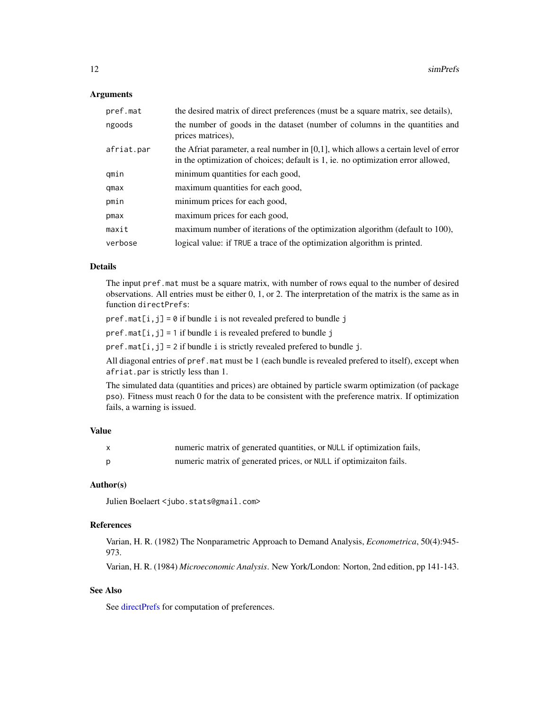## <span id="page-11-0"></span>**Arguments**

| pref.mat   | the desired matrix of direct preferences (must be a square matrix, see details),                                                                                           |
|------------|----------------------------------------------------------------------------------------------------------------------------------------------------------------------------|
| ngoods     | the number of goods in the dataset (number of columns in the quantities and<br>prices matrices).                                                                           |
| afriat.par | the Afriat parameter, a real number in $[0,1]$ , which allows a certain level of error<br>in the optimization of choices; default is 1, ie. no optimization error allowed, |
| gmin       | minimum quantities for each good,                                                                                                                                          |
| qmax       | maximum quantities for each good,                                                                                                                                          |
| pmin       | minimum prices for each good,                                                                                                                                              |
| pmax       | maximum prices for each good,                                                                                                                                              |
| maxit      | maximum number of iterations of the optimization algorithm (default to 100),                                                                                               |
| verbose    | logical value: if TRUE a trace of the optimization algorithm is printed.                                                                                                   |

## Details

The input pref.mat must be a square matrix, with number of rows equal to the number of desired observations. All entries must be either 0, 1, or 2. The interpretation of the matrix is the same as in function directPrefs:

 $pref.mat[i,j] = 0$  if bundle i is not revealed prefered to bundle j

 $pref.mat[i,j] = 1$  if bundle i is revealed prefered to bundle j

 $pref.mat[i,j] = 2$  if bundle i is strictly revealed prefered to bundle j.

All diagonal entries of pref.mat must be 1 (each bundle is revealed prefered to itself), except when afriat.par is strictly less than 1.

The simulated data (quantities and prices) are obtained by particle swarm optimization (of package pso). Fitness must reach 0 for the data to be consistent with the preference matrix. If optimization fails, a warning is issued.

## Value

| numeric matrix of generated quantities, or NULL if optimization fails, |
|------------------------------------------------------------------------|
| numeric matrix of generated prices, or NULL if optimization fails.     |

## Author(s)

Julien Boelaert <jubo.stats@gmail.com>

#### References

Varian, H. R. (1982) The Nonparametric Approach to Demand Analysis, *Econometrica*, 50(4):945- 973.

Varian, H. R. (1984) *Microeconomic Analysis*. New York/London: Norton, 2nd edition, pp 141-143.

## See Also

See [directPrefs](#page-7-1) for computation of preferences.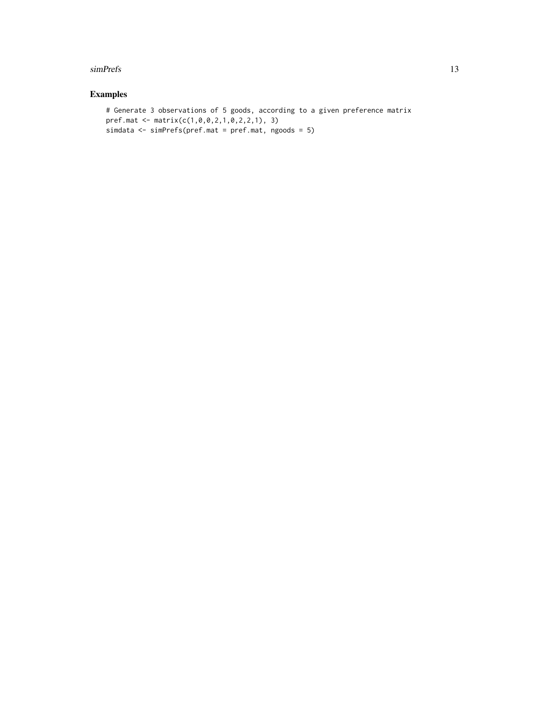#### simPrefs 13

## Examples

```
# Generate 3 observations of 5 goods, according to a given preference matrix
pref.mat <- matrix(c(1,0,0,2,1,0,2,2,1), 3)
simdata <- simPrefs(pref.mat = pref.mat, ngoods = 5)
```